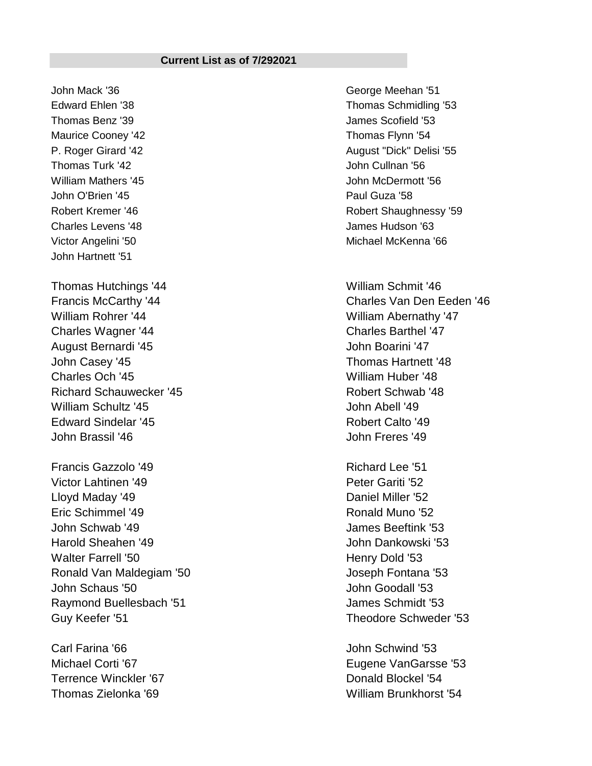## **Current List as of 7/292021**

John Mack '36 George Meehan '51 Thomas Benz '39 James Scofield '53 Maurice Cooney '42 **Thomas Flynn** '54 Thomas Turk '42 **John Cullnan '56** William Mathers '45 John McDermott '56 John O'Brien '45 Paul Guza '58 Charles Levens '48 James Hudson '63 John Hartnett '51

Thomas Hutchings '44 Milliam Schmit '46 William Rohrer '44 William Abernathy '47 Charles Wagner '44 Charles Barthel '47 August Bernardi '45 John Boarini '47 John Casey '45 Thomas Hartnett '48 Charles Och '45 William Huber '48 Richard Schauwecker '45 Robert Schwab '48 William Schultz '45 John Abell '49 Edward Sindelar '45 Robert Calto '49 John Brassil '46 John Freres '49

Francis Gazzolo '49 Richard Lee '51 Victor Lahtinen '49 Peter Gariti '52 Lloyd Maday '49 **Daniel Miller** '52 Eric Schimmel '49 Ronald Muno '52 John Schwab '49 James Beeftink '53 Harold Sheahen '49 John Dankowski '53 Walter Farrell '50 **Henry Dold '53** Ronald Van Maldegiam '50 **Joseph Fontana** '53 John Schaus '50 John Goodall '53 Raymond Buellesbach '51 James Schmidt '53 Guy Keefer '51 Theodore Schweder '53

Carl Farina '66 John Schwind '53 Terrence Winckler '67 Donald Blockel '54

Edward Ehlen '38 Thomas Schmidling '53 P. Roger Girard '42 August "Dick" Delisi '55 Robert Kremer '46 Robert Shaughnessy '59 Victor Angelini '50 Michael McKenna '66

Francis McCarthy '44 Charles Van Den Eeden '46

Michael Corti '67 Eugene VanGarsse '53 Thomas Zielonka '69 William Brunkhorst '54